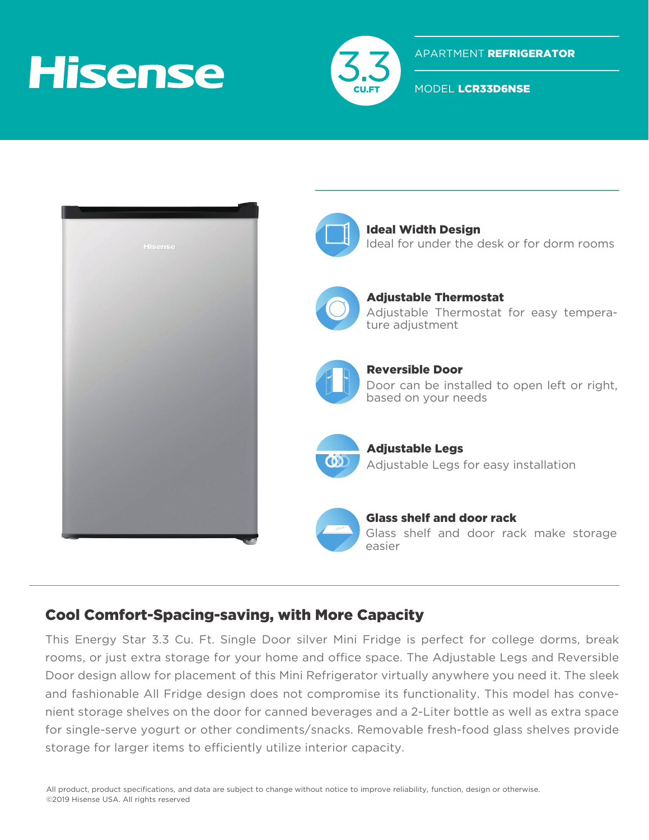## **Hisense**



APARTMENT REFRIGERATOR

MODEL LCR33D6NSE



## Cool Comfort-Spacing-saving, with More Capacity

This Energy Star 3.3 Cu. Ft. Single Door silver Mini Fridge is perfect for college dorms, break rooms, or just extra storage for your home and office space. The Adjustable Legs and Reversible Door design allow for placement of this Mini Refrigerator virtually anywhere you need it. The sleek and fashionable All Fridge design does not compromise its functionality. This model has convenient storage shelves on the door for canned beverages and a 2-Liter bottle as well as extra space for single-serve yogurt or other condiments/snacks. Removable fresh-food glass shelves provide storage for larger items to efficiently utilize interior capacity.